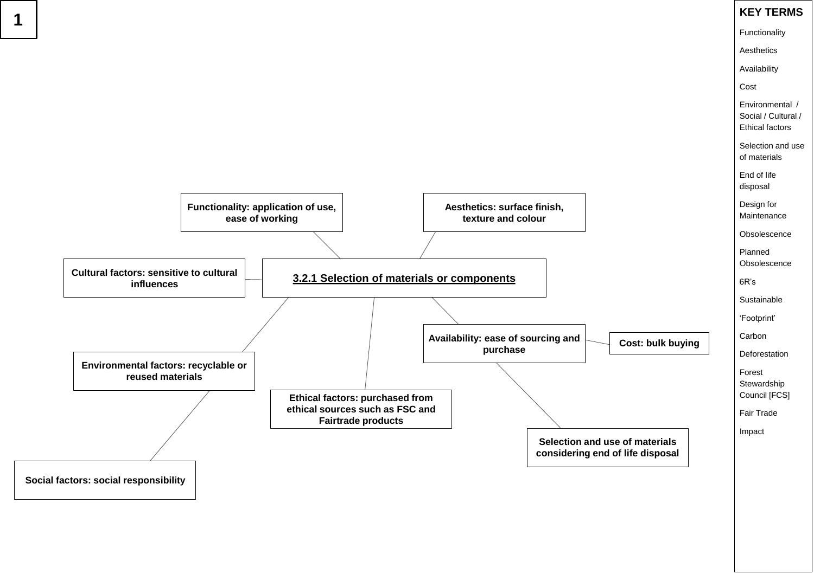Functionality

**Aesthetics** 

Availability

Cost

Environmental / Social / Cultural / Ethical factors

Planned **Obsolescence** 

Selection and use of materials

End of life disposal

Design for Maintenance

**Obsolescence** 

6R's

**Sustainable** 

'Footprint'

Carbon

**Deforestation** 

Forest **Stewardship** Council [FCS]

Fair Trade

Impact



### **Cost: bulk buying**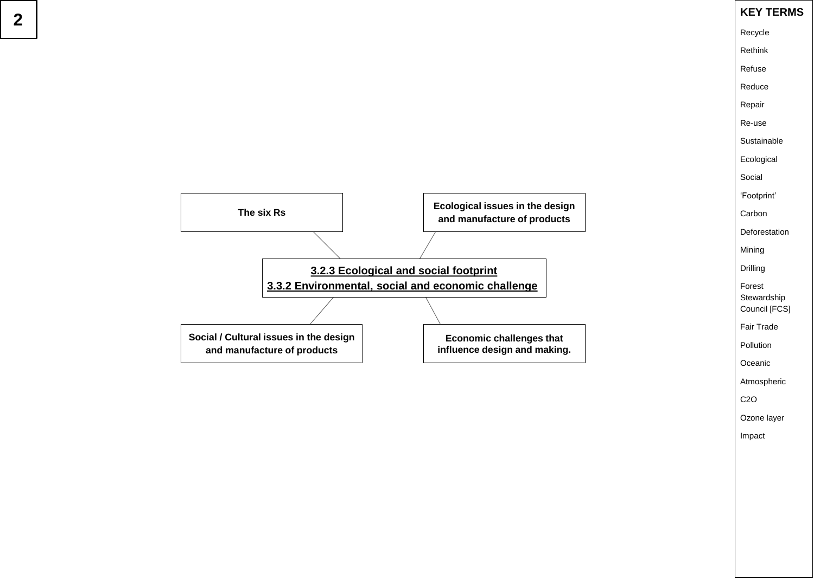Recycle

Rethink

Refuse

Reduce

Repair

Re-use

**Sustainable** 

Ecological

Social

'Footprint'

Carbon

**Deforestation** 

Mining

Drilling

Forest **Stewardship** Council [FCS]

Fair Trade

Pollution

**Oceanic** 

Atmospheric

C2O

Ozone layer

Impact

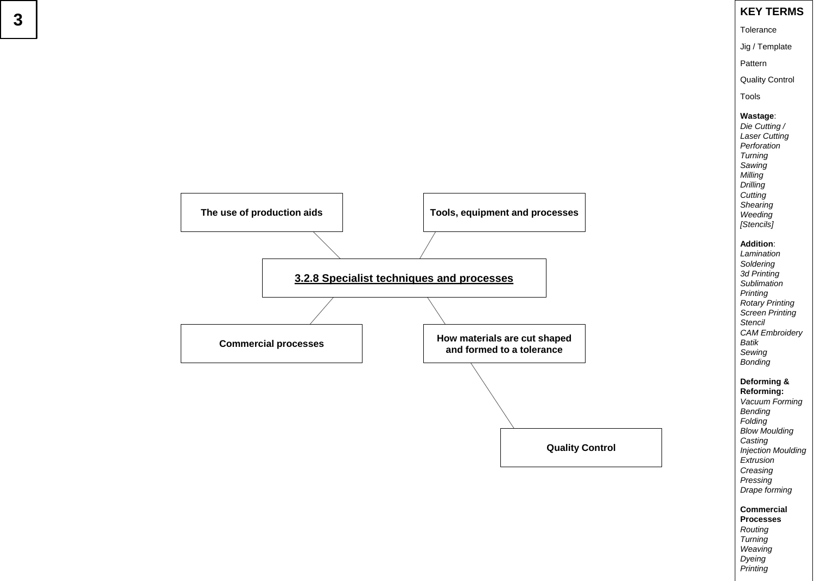Tolerance

Jig / Template

Pattern

Quality Control

Tools

#### **Wastage** :

*Die Cutting / Laser Cutting Perforation Turning Sawing Milling Drilling Cutting Shearing Weeding [Stencils]*

#### **Addition** :

*Lamination Soldering 3d Printing Sublimation Printing Rotary Printing Screen Printing Stencil CAM Embroidery Batik Sewing Bonding*

#### **Deforming &**

**Reforming:** *Vacuum Forming Bending Folding Blow Moulding Casting Injection Moulding Extrusion Creasing Pressing Drape forming*

**Commercial Processes** *Routing Turning Weaving Dyeing Printing*



# **3**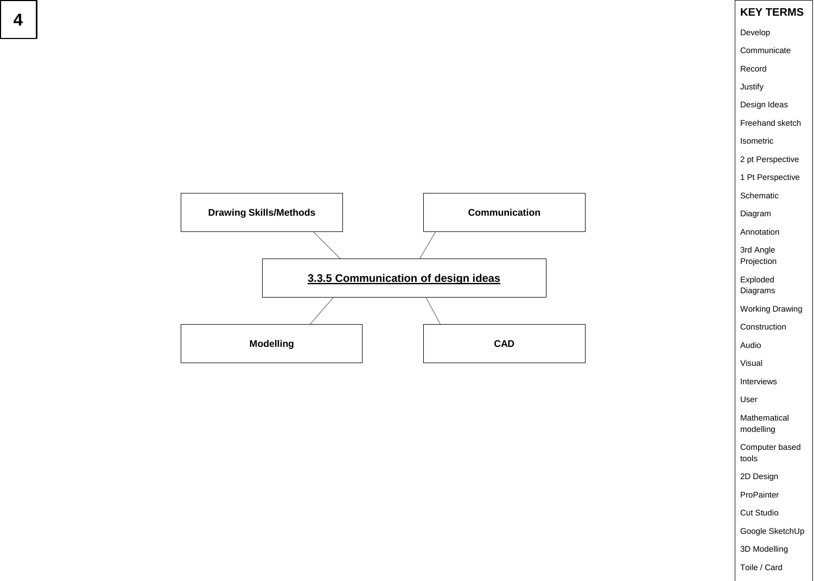Develop

**Communicate** 

Record

Justify

Design Ideas

Freehand sketch

Isometric

2 pt Perspective

1 Pt Perspective

Schematic

Diagram

Annotation

3rd Angle Projection

Exploded Diagrams

Working Drawing

Construction

Audio

Visual

Interviews

User

Mathematical modelling

Computer based tools

2D Design

ProPainter

Cut Studio

Google SketchUp

3D Modelling

Toile / Card

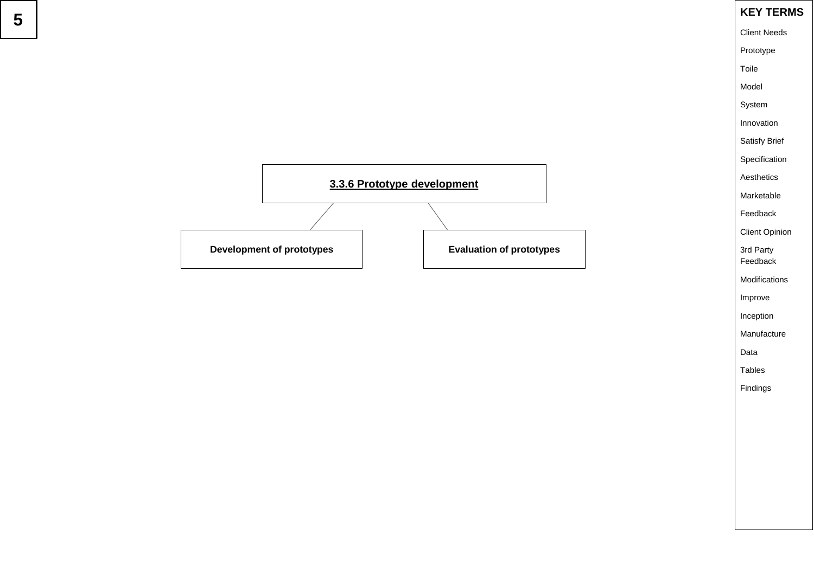

Client Needs

Prototype

Toile

Model

System

Innovation

Satisfy Brief

Specification

Aesthetics

Marketable

Feedback

Client Opinion

3rd Party Feedback

Modifications

Improve

Inception

Manufacture

Data

Tables

Findings